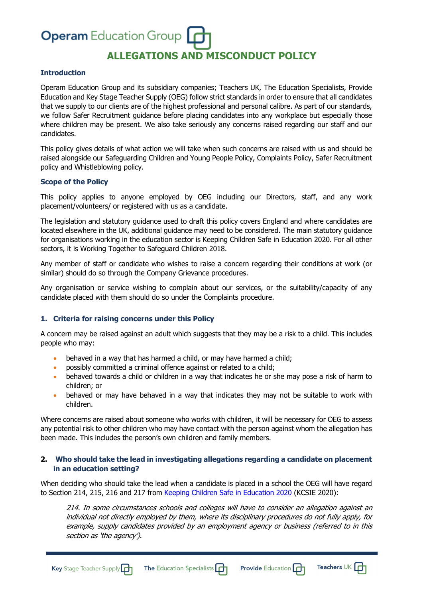# **Operam** Education Group **ALLEGATIONS AND MISCONDUCT POLICY**

#### **Introduction**

Operam Education Group and its subsidiary companies; Teachers UK, The Education Specialists, Provide Education and Key Stage Teacher Supply (OEG) follow strict standards in order to ensure that all candidates that we supply to our clients are of the highest professional and personal calibre. As part of our standards, we follow Safer Recruitment guidance before placing candidates into any workplace but especially those where children may be present. We also take seriously any concerns raised regarding our staff and our candidates.

This policy gives details of what action we will take when such concerns are raised with us and should be raised alongside our Safeguarding Children and Young People Policy, Complaints Policy, Safer Recruitment policy and Whistleblowing policy.

#### **Scope of the Policy**

This policy applies to anyone employed by OEG including our Directors, staff, and any work placement/volunteers/ or registered with us as a candidate.

The legislation and statutory guidance used to draft this policy covers England and where candidates are located elsewhere in the UK, additional guidance may need to be considered. The main statutory guidance for organisations working in the education sector is Keeping Children Safe in Education 2020. For all other sectors, it is Working Together to Safeguard Children 2018.

Any member of staff or candidate who wishes to raise a concern regarding their conditions at work (or similar) should do so through the Company Grievance procedures.

Any organisation or service wishing to complain about our services, or the suitability/capacity of any candidate placed with them should do so under the Complaints procedure.

#### **1. Criteria for raising concerns under this Policy**

A concern may be raised against an adult which suggests that they may be a risk to a child. This includes people who may:

- behaved in a way that has harmed a child, or may have harmed a child;
- possibly committed a criminal offence against or related to a child;
- behaved towards a child or children in a way that indicates he or she may pose a risk of harm to children; or
- behaved or may have behaved in a way that indicates they may not be suitable to work with children.

Where concerns are raised about someone who works with children, it will be necessary for OEG to assess any potential risk to other children who may have contact with the person against whom the allegation has been made. This includes the person's own children and family members.

#### **2. Who should take the lead in investigating allegations regarding a candidate on placement in an education setting?**

When deciding who should take the lead when a candidate is placed in a school the OEG will have regard to Section 214, 215, 216 and 217 from Keeping Children Safe in Education 2020 (KCSIE 2020):

214. In some circumstances schools and colleges will have to consider an allegation against an individual not directly employed by them, where its disciplinary procedures do not fully apply, for example, supply candidates provided by an employment agency or business (referred to in this section as 'the agency').

**Provide Education**  $\mathbf{G}$  Teachers UK  $\mathbf{G}$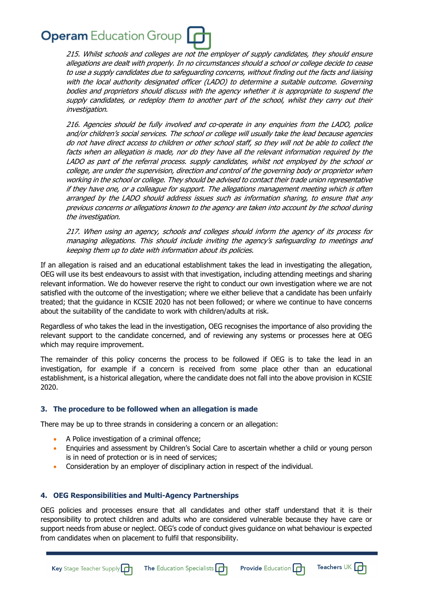215. Whilst schools and colleges are not the employer of supply candidates, they should ensure allegations are dealt with properly. In no circumstances should a school or college decide to cease to use a supply candidates due to safeguarding concerns, without finding out the facts and liaising with the local authority designated officer (LADO) to determine a suitable outcome. Governing bodies and proprietors should discuss with the agency whether it is appropriate to suspend the supply candidates, or redeploy them to another part of the school, whilst they carry out their investigation.

216. Agencies should be fully involved and co-operate in any enquiries from the LADO, police and/or children's social services. The school or college will usually take the lead because agencies do not have direct access to children or other school staff, so they will not be able to collect the facts when an allegation is made, nor do they have all the relevant information required by the LADO as part of the referral process. supply candidates, whilst not employed by the school or college, are under the supervision, direction and control of the governing body or proprietor when working in the school or college. They should be advised to contact their trade union representative if they have one, or a colleague for support. The allegations management meeting which is often arranged by the LADO should address issues such as information sharing, to ensure that any previous concerns or allegations known to the agency are taken into account by the school during the investigation.

217. When using an agency, schools and colleges should inform the agency of its process for managing allegations. This should include inviting the agency's safeguarding to meetings and keeping them up to date with information about its policies.

If an allegation is raised and an educational establishment takes the lead in investigating the allegation, OEG will use its best endeavours to assist with that investigation, including attending meetings and sharing relevant information. We do however reserve the right to conduct our own investigation where we are not satisfied with the outcome of the investigation; where we either believe that a candidate has been unfairly treated; that the guidance in KCSIE 2020 has not been followed; or where we continue to have concerns about the suitability of the candidate to work with children/adults at risk.

Regardless of who takes the lead in the investigation, OEG recognises the importance of also providing the relevant support to the candidate concerned, and of reviewing any systems or processes here at OEG which may require improvement.

The remainder of this policy concerns the process to be followed if OEG is to take the lead in an investigation, for example if a concern is received from some place other than an educational establishment, is a historical allegation, where the candidate does not fall into the above provision in KCSIE 2020.

# **3. The procedure to be followed when an allegation is made**

There may be up to three strands in considering a concern or an allegation:

- A Police investigation of a criminal offence:
- Enquiries and assessment by Children's Social Care to ascertain whether a child or young person is in need of protection or is in need of services;
- Consideration by an employer of disciplinary action in respect of the individual.

**The Education Specialists** 

# **4. OEG Responsibilities and Multi-Agency Partnerships**

OEG policies and processes ensure that all candidates and other staff understand that it is their responsibility to protect children and adults who are considered vulnerable because they have care or support needs from abuse or neglect. OEG's code of conduct gives guidance on what behaviour is expected from candidates when on placement to fulfil that responsibility.

Teachers UK  $\Box$ 

**Provide Education**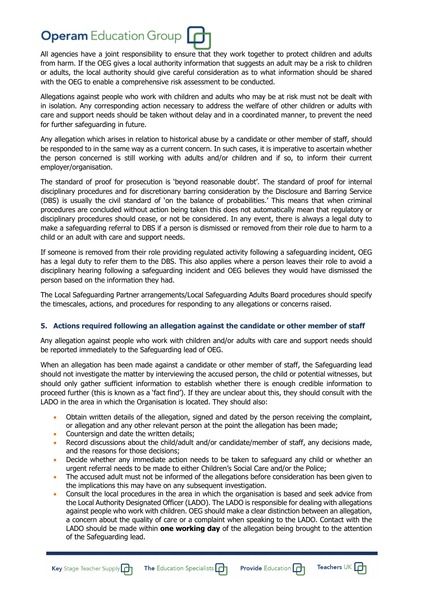All agencies have a joint responsibility to ensure that they work together to protect children and adults from harm. If the OEG gives a local authority information that suggests an adult may be a risk to children or adults, the local authority should give careful consideration as to what information should be shared with the OEG to enable a comprehensive risk assessment to be conducted.

Allegations against people who work with children and adults who may be at risk must not be dealt with in isolation. Any corresponding action necessary to address the welfare of other children or adults with care and support needs should be taken without delay and in a coordinated manner, to prevent the need for further safeguarding in future.

Any allegation which arises in relation to historical abuse by a candidate or other member of staff, should be responded to in the same way as a current concern. In such cases, it is imperative to ascertain whether the person concerned is still working with adults and/or children and if so, to inform their current employer/organisation.

The standard of proof for prosecution is 'beyond reasonable doubt'. The standard of proof for internal disciplinary procedures and for discretionary barring consideration by the Disclosure and Barring Service (DBS) is usually the civil standard of 'on the balance of probabilities.' This means that when criminal procedures are concluded without action being taken this does not automatically mean that regulatory or disciplinary procedures should cease, or not be considered. In any event, there is always a legal duty to make a safeguarding referral to DBS if a person is dismissed or removed from their role due to harm to a child or an adult with care and support needs.

If someone is removed from their role providing regulated activity following a safeguarding incident, OEG has a legal duty to refer them to the DBS. This also applies where a person leaves their role to avoid a disciplinary hearing following a safeguarding incident and OEG believes they would have dismissed the person based on the information they had.

The Local Safeguarding Partner arrangements/Local Safeguarding Adults Board procedures should specify the timescales, actions, and procedures for responding to any allegations or concerns raised.

# **5. Actions required following an allegation against the candidate or other member of staff**

Any allegation against people who work with children and/or adults with care and support needs should be reported immediately to the Safeguarding lead of OEG.

When an allegation has been made against a candidate or other member of staff, the Safeguarding lead should not investigate the matter by interviewing the accused person, the child or potential witnesses, but should only gather sufficient information to establish whether there is enough credible information to proceed further (this is known as a 'fact find'). If they are unclear about this, they should consult with the LADO in the area in which the Organisation is located. They should also:

- Obtain written details of the allegation, signed and dated by the person receiving the complaint, or allegation and any other relevant person at the point the allegation has been made;
- Countersign and date the written details:
- Record discussions about the child/adult and/or candidate/member of staff, any decisions made, and the reasons for those decisions;
- Decide whether any immediate action needs to be taken to safeguard any child or whether an urgent referral needs to be made to either Children's Social Care and/or the Police;
- The accused adult must not be informed of the allegations before consideration has been given to the implications this may have on any subsequent investigation.
- Consult the local procedures in the area in which the organisation is based and seek advice from the Local Authority Designated Officer (LADO). The LADO is responsible for dealing with allegations against people who work with children. OEG should make a clear distinction between an allegation, a concern about the quality of care or a complaint when speaking to the LADO. Contact with the LADO should be made within **one working day** of the allegation being brought to the attention of the Safeguarding lead.



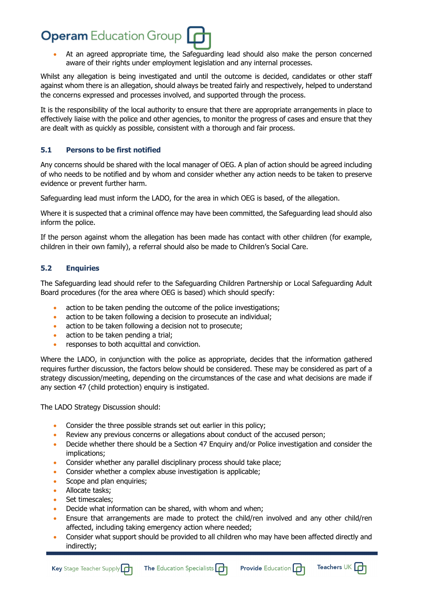• At an agreed appropriate time, the Safeguarding lead should also make the person concerned aware of their rights under employment legislation and any internal processes.

Whilst any allegation is being investigated and until the outcome is decided, candidates or other staff against whom there is an allegation, should always be treated fairly and respectively, helped to understand the concerns expressed and processes involved, and supported through the process.

It is the responsibility of the local authority to ensure that there are appropriate arrangements in place to effectively liaise with the police and other agencies, to monitor the progress of cases and ensure that they are dealt with as quickly as possible, consistent with a thorough and fair process.

# **5.1 Persons to be first notified**

Any concerns should be shared with the local manager of OEG. A plan of action should be agreed including of who needs to be notified and by whom and consider whether any action needs to be taken to preserve evidence or prevent further harm.

Safeguarding lead must inform the LADO, for the area in which OEG is based, of the allegation.

Where it is suspected that a criminal offence may have been committed, the Safeguarding lead should also inform the police.

If the person against whom the allegation has been made has contact with other children (for example, children in their own family), a referral should also be made to Children's Social Care.

# **5.2 Enquiries**

The Safeguarding lead should refer to the Safeguarding Children Partnership or Local Safeguarding Adult Board procedures (for the area where OEG is based) which should specify:

- action to be taken pending the outcome of the police investigations;
- action to be taken following a decision to prosecute an individual;
- action to be taken following a decision not to prosecute;
- action to be taken pending a trial;
- responses to both acquittal and conviction.

Where the LADO, in conjunction with the police as appropriate, decides that the information gathered requires further discussion, the factors below should be considered. These may be considered as part of a strategy discussion/meeting, depending on the circumstances of the case and what decisions are made if any section 47 (child protection) enquiry is instigated.

The LADO Strategy Discussion should:

- Consider the three possible strands set out earlier in this policy;
- Review any previous concerns or allegations about conduct of the accused person;
- Decide whether there should be a Section 47 Enquiry and/or Police investigation and consider the implications;
- Consider whether any parallel disciplinary process should take place;
- Consider whether a complex abuse investigation is applicable;
- Scope and plan enquiries;
- Allocate tasks;
- Set timescales:
- Decide what information can be shared, with whom and when;
- Ensure that arrangements are made to protect the child/ren involved and any other child/ren affected, including taking emergency action where needed;
- Consider what support should be provided to all children who may have been affected directly and indirectly;



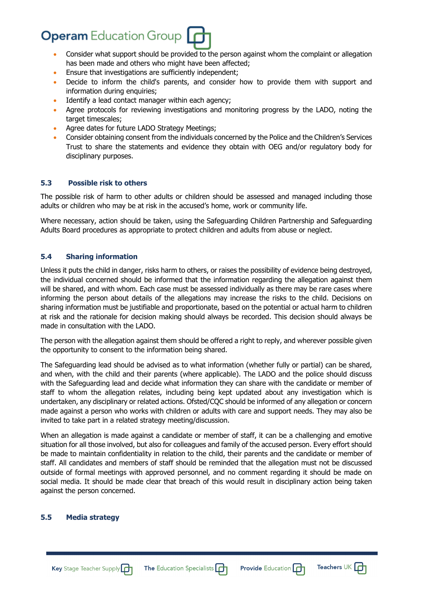- Consider what support should be provided to the person against whom the complaint or allegation has been made and others who might have been affected;
- Ensure that investigations are sufficiently independent;
- Decide to inform the child's parents, and consider how to provide them with support and information during enquiries:
- Identify a lead contact manager within each agency;
- Agree protocols for reviewing investigations and monitoring progress by the LADO, noting the target timescales;
- Agree dates for future LADO Strategy Meetings;
- Consider obtaining consent from the individuals concerned by the Police and the Children's Services Trust to share the statements and evidence they obtain with OEG and/or regulatory body for disciplinary purposes.

# **5.3 Possible risk to others**

The possible risk of harm to other adults or children should be assessed and managed including those adults or children who may be at risk in the accused's home, work or community life.

Where necessary, action should be taken, using the Safeguarding Children Partnership and Safeguarding Adults Board procedures as appropriate to protect children and adults from abuse or neglect.

# **5.4 Sharing information**

Unless it puts the child in danger, risks harm to others, or raises the possibility of evidence being destroyed, the individual concerned should be informed that the information regarding the allegation against them will be shared, and with whom. Each case must be assessed individually as there may be rare cases where informing the person about details of the allegations may increase the risks to the child. Decisions on sharing information must be justifiable and proportionate, based on the potential or actual harm to children at risk and the rationale for decision making should always be recorded. This decision should always be made in consultation with the LADO.

The person with the allegation against them should be offered a right to reply, and wherever possible given the opportunity to consent to the information being shared.

The Safeguarding lead should be advised as to what information (whether fully or partial) can be shared, and when, with the child and their parents (where applicable). The LADO and the police should discuss with the Safeguarding lead and decide what information they can share with the candidate or member of staff to whom the allegation relates, including being kept updated about any investigation which is undertaken, any disciplinary or related actions. Ofsted/CQC should be informed of any allegation or concern made against a person who works with children or adults with care and support needs. They may also be invited to take part in a related strategy meeting/discussion.

When an allegation is made against a candidate or member of staff, it can be a challenging and emotive situation for all those involved, but also for colleagues and family of the accused person. Every effort should be made to maintain confidentiality in relation to the child, their parents and the candidate or member of staff. All candidates and members of staff should be reminded that the allegation must not be discussed outside of formal meetings with approved personnel, and no comment regarding it should be made on social media. It should be made clear that breach of this would result in disciplinary action being taken against the person concerned.

#### **5.5 Media strategy**

Teachers UK  $\Box$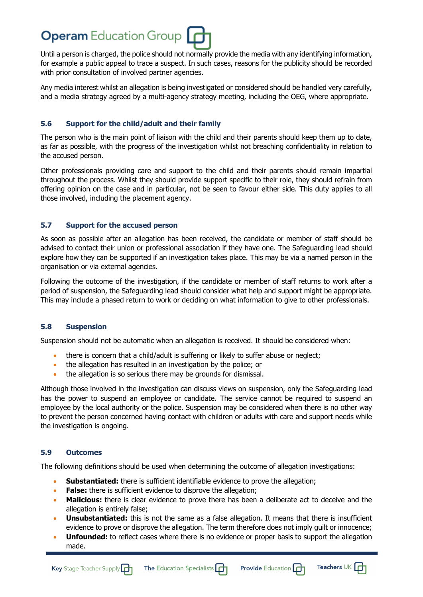Until a person is charged, the police should not normally provide the media with any identifying information, for example a public appeal to trace a suspect. In such cases, reasons for the publicity should be recorded with prior consultation of involved partner agencies.

Any media interest whilst an allegation is being investigated or considered should be handled very carefully, and a media strategy agreed by a multi-agency strategy meeting, including the OEG, where appropriate.

# **5.6 Support for the child/adult and their family**

The person who is the main point of liaison with the child and their parents should keep them up to date, as far as possible, with the progress of the investigation whilst not breaching confidentiality in relation to the accused person.

Other professionals providing care and support to the child and their parents should remain impartial throughout the process. Whilst they should provide support specific to their role, they should refrain from offering opinion on the case and in particular, not be seen to favour either side. This duty applies to all those involved, including the placement agency.

# **5.7 Support for the accused person**

As soon as possible after an allegation has been received, the candidate or member of staff should be advised to contact their union or professional association if they have one. The Safeguarding lead should explore how they can be supported if an investigation takes place. This may be via a named person in the organisation or via external agencies.

Following the outcome of the investigation, if the candidate or member of staff returns to work after a period of suspension, the Safeguarding lead should consider what help and support might be appropriate. This may include a phased return to work or deciding on what information to give to other professionals.

# **5.8 Suspension**

Suspension should not be automatic when an allegation is received. It should be considered when:

- there is concern that a child/adult is suffering or likely to suffer abuse or neglect;
- the allegation has resulted in an investigation by the police; or
- the allegation is so serious there may be grounds for dismissal.

Although those involved in the investigation can discuss views on suspension, only the Safeguarding lead has the power to suspend an employee or candidate. The service cannot be required to suspend an employee by the local authority or the police. Suspension may be considered when there is no other way to prevent the person concerned having contact with children or adults with care and support needs while the investigation is ongoing.

# **5.9 Outcomes**

The following definitions should be used when determining the outcome of allegation investigations:

- **Substantiated:** there is sufficient identifiable evidence to prove the allegation;
- **False:** there is sufficient evidence to disprove the allegation;
- **Malicious:** there is clear evidence to prove there has been a deliberate act to deceive and the allegation is entirely false;
- **Unsubstantiated:** this is not the same as a false allegation. It means that there is insufficient evidence to prove or disprove the allegation. The term therefore does not imply guilt or innocence;
- **Unfounded:** to reflect cases where there is no evidence or proper basis to support the allegation made.

Teachers UK  $\Box$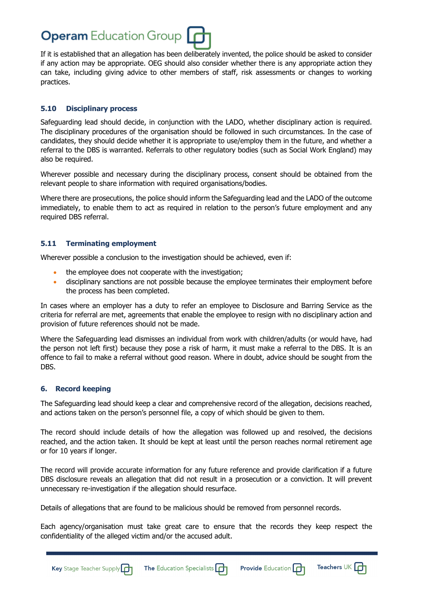

If it is established that an allegation has been deliberately invented, the police should be asked to consider if any action may be appropriate. OEG should also consider whether there is any appropriate action they can take, including giving advice to other members of staff, risk assessments or changes to working practices.

#### **5.10 Disciplinary process**

Safeguarding lead should decide, in conjunction with the LADO, whether disciplinary action is required. The disciplinary procedures of the organisation should be followed in such circumstances. In the case of candidates, they should decide whether it is appropriate to use/employ them in the future, and whether a referral to the DBS is warranted. Referrals to other regulatory bodies (such as Social Work England) may also be required.

Wherever possible and necessary during the disciplinary process, consent should be obtained from the relevant people to share information with required organisations/bodies.

Where there are prosecutions, the police should inform the Safeguarding lead and the LADO of the outcome immediately, to enable them to act as required in relation to the person's future employment and any required DBS referral.

#### **5.11 Terminating employment**

Wherever possible a conclusion to the investigation should be achieved, even if:

- the employee does not cooperate with the investigation;
- disciplinary sanctions are not possible because the employee terminates their employment before the process has been completed.

In cases where an employer has a duty to refer an employee to Disclosure and Barring Service as the criteria for referral are met, agreements that enable the employee to resign with no disciplinary action and provision of future references should not be made.

Where the Safeguarding lead dismisses an individual from work with children/adults (or would have, had the person not left first) because they pose a risk of harm, it must make a referral to the DBS. It is an offence to fail to make a referral without good reason. Where in doubt, advice should be sought from the DBS.

#### **6. Record keeping**

The Safeguarding lead should keep a clear and comprehensive record of the allegation, decisions reached, and actions taken on the person's personnel file, a copy of which should be given to them.

The record should include details of how the allegation was followed up and resolved, the decisions reached, and the action taken. It should be kept at least until the person reaches normal retirement age or for 10 years if longer.

The record will provide accurate information for any future reference and provide clarification if a future DBS disclosure reveals an allegation that did not result in a prosecution or a conviction. It will prevent unnecessary re-investigation if the allegation should resurface.

Details of allegations that are found to be malicious should be removed from personnel records.

Each agency/organisation must take great care to ensure that the records they keep respect the confidentiality of the alleged victim and/or the accused adult.



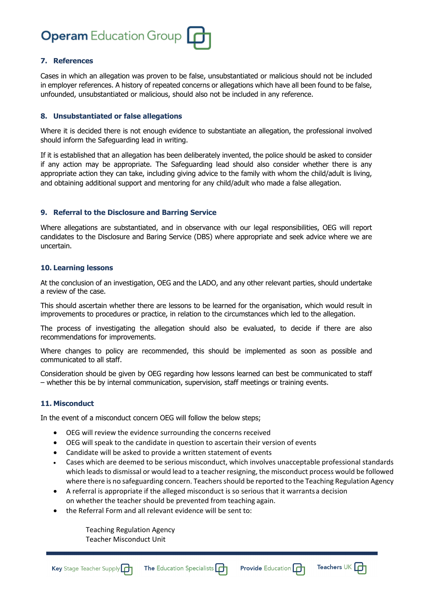

#### **7. References**

Cases in which an allegation was proven to be false, unsubstantiated or malicious should not be included in employer references. A history of repeated concerns or allegations which have all been found to be false, unfounded, unsubstantiated or malicious, should also not be included in any reference.

#### **8. Unsubstantiated or false allegations**

Where it is decided there is not enough evidence to substantiate an allegation, the professional involved should inform the Safeguarding lead in writing.

If it is established that an allegation has been deliberately invented, the police should be asked to consider if any action may be appropriate. The Safeguarding lead should also consider whether there is any appropriate action they can take, including giving advice to the family with whom the child/adult is living, and obtaining additional support and mentoring for any child/adult who made a false allegation.

#### **9. Referral to the Disclosure and Barring Service**

Where allegations are substantiated, and in observance with our legal responsibilities, OEG will report candidates to the Disclosure and Baring Service (DBS) where appropriate and seek advice where we are uncertain.

#### **10. Learning lessons**

At the conclusion of an investigation, OEG and the LADO, and any other relevant parties, should undertake a review of the case.

This should ascertain whether there are lessons to be learned for the organisation, which would result in improvements to procedures or practice, in relation to the circumstances which led to the allegation.

The process of investigating the allegation should also be evaluated, to decide if there are also recommendations for improvements.

Where changes to policy are recommended, this should be implemented as soon as possible and communicated to all staff.

Consideration should be given by OEG regarding how lessons learned can best be communicated to staff – whether this be by internal communication, supervision, staff meetings or training events.

#### **11. Misconduct**

In the event of a misconduct concern OEG will follow the below steps;

- OEG will review the evidence surrounding the concerns received
- OEG will speak to the candidate in question to ascertain their version of events
- Candidate will be asked to provide a written statement of events
- Cases which are deemed to be serious misconduct, which involves unacceptable professional standards which leads to dismissal or would lead to a teacher resigning, the misconduct process would be followed where there is no safeguarding concern. Teachers should be reported to the Teaching Regulation Agency
- A referral is appropriate if the alleged misconduct is so serious that it warrantsa decision on whether the teacher should be prevented from teaching again.
- the Referral Form and all relevant evidence will be sent to:

Teaching Regulation Agency Teacher Misconduct Unit